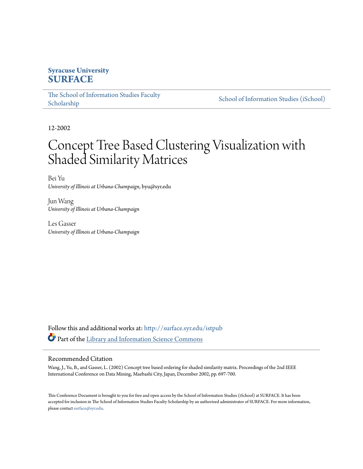## **Syracuse University [SURFACE](http://surface.syr.edu?utm_source=surface.syr.edu%2Fistpub%2F68&utm_medium=PDF&utm_campaign=PDFCoverPages)**

The School of Information Studies Faculty [School of Information Studies \(iSchool\)](http://surface.syr.edu/ischool?utm_source=surface.syr.edu%2Fistpub%2F68&utm_medium=PDF&utm_campaign=PDFCoverPages) School of Information Studies (iSchool)

12-2002

# Concept Tree Based Clustering Visualization with Shaded Similarity Matrices

Bei Yu *University of Illinois at Urbana-Champaign*, byu@syr.edu

Jun Wang *University of Illinois at Urbana-Champaign* 

Les Gasser *University of Illinois at Urbana-Champaign* 

Follow this and additional works at: http://surface.syr.edu/istpub Part of the [Library and Information Science Commons](http://network.bepress.com/hgg/discipline/1018?utm_source=surface.syr.edu%2Fistpub%2F68&utm_medium=PDF&utm_campaign=PDFCoverPages) 

#### Recommended Citation

Wang, J., Yu, B., and Gasser, L. (2002) Concept tree based ordering for shaded similarity matrix. Proceedings of the 2nd IEEE International Conference on Data Mining, Maebashi City, Japan, December 2002, pp. 697-700.

Tis Conference Document is brought to you for free and open access by the School of Information Studies (iSchool) at SURFACE. It has been accepted for inclusion in The School of Information Studies Faculty Scholarship by an authorized administrator of SURFACE. For more information, please contact [surface@syr.edu.](mailto:surface@syr.edu)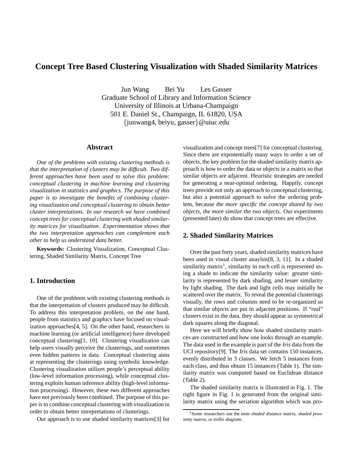### **Concept Tree Based Clustering Visualization with Shaded Similarity Matrices**

Jun Wang Bei Yu Les Gasser

Graduate School of Library and Information Science University of Illinois at Urbana-Champaign 501 E. Daniel St., Champaign, IL 61820, USA {junwang4, beiyu, gasser}@uiuc.edu

#### **Abstract**

*One of the problems with existing clustering methods is that the interpretation of clusters may be diffcult. Two different approaches have been used to solve this problem: conceptual clustering in machine learning and clustering visualization in statistics and graphics. The purpose of this paper is to investigate the benefts of combining clustering visualization and conceptual clustering to obtain better cluster interpretations. In our research we have combined concept trees for conceptual clustering with shaded similarity matrices for visualization. Experimentation shows that the two interpretation approaches can complement each other to help us understand data better.* 

**Keywords:** Clustering Visualization, Conceptual Clustering, Shaded Similarity Matrix, Concept Tree

#### **1. Introduction**

One of the problems with existing clustering methods is that the interpretation of clusters produced may be diffcult. To address this interpretation problem, on the one hand, people from statistics and graphics have focused on visualization approaches[4, 5]. On the other hand, researchers in machine learning (or artifcial intelligence) have developed conceptual clustering[1, 10]. Clustering visualization can help users visually perceive the clusterings, and sometimes even hidden patterns in data. Conceptual clustering aims at representing the clusterings using symbolic knowledge. Clustering visualization utilizes people's perceptual ability (low-level information processing), while conceptual clustering exploits human inference ability (high-level information processing). However, these two different approaches have not previously been combined. The purpose of this paper is to combine conceptual clustering with visualization in order to obtain better intrepretations of clusterings.

Our approach is to use shaded similarity matrices[3] for

visualization and concept trees[7] for conceptual clustering. Since there are exponentially many ways to order a set of objects, the key problem for the shaded similarity matrix approach is how to order the data or objects in a matrix so that similar objects are adjacent. Heuristic strategies are needed for generating a near-optimal ordering. Happily, concept trees provide not only an approach to conceptual clustering, but also a potential approach to solve the ordering problem, because *the more specifc the concept shared by two objects, the more similar the two objects*. Our experiments (presented later) do show that concept trees are effective.

#### **2. Shaded Similarity Matrices**

Over the past forty years, shaded similarity matrices have been used in visual cluster anaylsis[8, 3, 11]. In a shaded similarity matrix<sup>1</sup>, similarity in each cell is represented using a shade to indicate the similarity value: greater similarity is represented by dark shading, and lesser similarity by light shading. The dark and light cells may initially be scattered over the matrix. To reveal the potential clusterings visually, the rows and columns need to be re-organized so that similar objects are put in adjacent positions. If "real" clusters exist in the data, they should appear as symmetrical dark squares along the diagonal.

Here we will briefy show how shaded similarity matrices are constructed and how one looks through an example. The data used in the example is part of the *Iris* data from the UCI repository[9]. The *Iris* data set contains 150 instances, evenly distributed in 3 classes. We fetch 5 instances from each class, and thus obtain 15 instances (Table 1). The similarity matrix was computed based on Euclidean distance (Table 2).

The shaded similarity matrix is illustrated in Fig. 1. The right figure in Fig. 1 is generated from the original similarity matrix using the seriation algorithm which was pro-

<sup>1</sup>Some researchers use the term *shaded distance matrix*, *shaded proximity matrix*, or *trellis diagram*.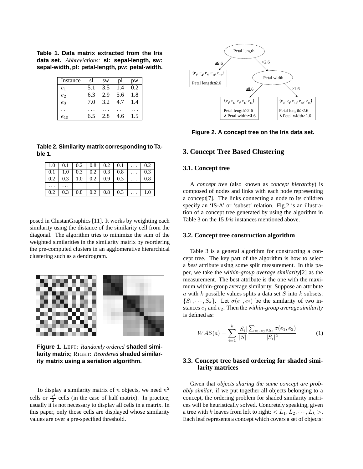**Table 1. Data matrix extracted from the Iris data set.** *Abbreviations:* **sl: sepal-length, sw: sepal-width, pl: petal-length, pw: petal-width.** 

| Instance | sl  | <b>SW</b> |     | pw         |
|----------|-----|-----------|-----|------------|
| $e_1$    | 5.1 | 3.5       | 1.4 | 0.2        |
| $e_2$    | 6.3 | 2.9       | 5.6 | 1.8        |
| $e_3$    | 7.0 | 3.2       | 4.7 | $\cdot$ .4 |
|          |     |           |     |            |
| U15      | 6.5 | 2.8       | 4.6 |            |

**Table 2. Similarity matrix corresponding to Table 1.** 

|     | $1.0$   0.1   0.2   0.8   0.2   0.1 |  |                                     |           | $0.\overline{2}$ |
|-----|-------------------------------------|--|-------------------------------------|-----------|------------------|
|     | $0.1$   1.0   0.3   0.2   0.3   0.8 |  |                                     |           | 0.3              |
| 0.2 | 0.3                                 |  | $1.0 \quad 0.2 \quad 0.9 \quad 0.3$ | $\cdot$ . | 0.8              |
|     | $\cdots$                            |  |                                     |           |                  |
| 0.2 | 0.3                                 |  | $0.8$   0.2   0.8   0.3             | $\ldots$  | 1.0              |

posed in ClustanGraphics [11]. It works by weighting each similarity using the distance of the similarity cell from the diagonal. The algorithm tries to minimize the sum of the weighted similarities in the similarity matrix by reordering the pre-computed clusters in an agglomerative hierarchical clustering such as a dendrogram.



**Figure 1.** LEFT: *Randomly ordered* **shaded similarity matrix;** RIGHT: *Reordered* **shaded similarity matrix using a seriation algorithm.** 

To display a similarity matrix of n objects, we need  $n^2$ cells or  $\frac{n^2}{2}$  cells (in the case of half matrix). In practice, usually it is not necessary to display all cells in a matrix. In this paper, only those cells are displayed whose similarity values are over a pre-specifed threshold.



**Figure 2. A concept tree on the Iris data set.** 

#### **3. Concept Tree Based Clustering**

#### **3.1. Concept tree**

A *concept tree* (also known as *concept hierarchy*) is composed of nodes and links with each node representing a concept[7]. The links connecting a node to its children specify an 'IS-A' or 'subset' relation. Fig.2 is an illustration of a concept tree generated by using the algorithm in Table 3 on the 15 *Iris* instances mentioned above.

#### **3.2. Concept tree construction algorithm**

Table 3 is a general algorithm for constructing a concept tree. The key part of the algorithm is how to select a *best* attribute using some split measurement. In this paper, we take the *within-group average similarity*[2] as the measurement. The best attribute is the one with the maximum within-group average similarity. Suppose an attribute a with  $k$  possible values splits a data set  $S$  into  $k$  subsets:  $\{S_1, \dots, S_k\}$ . Let  $\sigma(e_1, e_2)$  be the similarity of two instances  $e_1$  and  $e_2$ . Then the *within-group average similarity* is defned as:

$$
WAS(a) = \sum_{i=1}^{k} \frac{|S_i|}{|S|} \frac{\sum_{e_1, e_2 \in S_i} \sigma(e_1, e_2)}{|S_i|^2}
$$
 (1)

#### **3.3. Concept tree based ordering for shaded similarity matrices**

Given that *objects sharing the same concept are probably similar*, if we put together all objects belonging to a concept, the ordering problem for shaded similarity matrices will be heuristically solved. Concretely speaking, given a tree with k leaves from left to right:  $\langle L_1, L_2, \cdots, L_k \rangle$ . Each leaf represents a concept which covers a set of objects: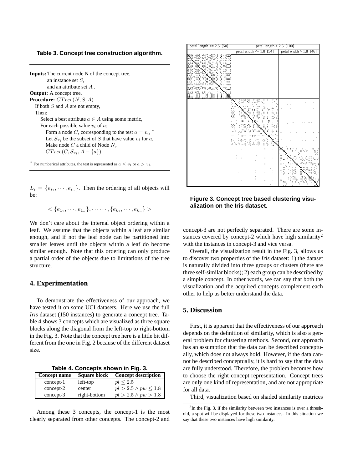#### **Table 3. Concept tree construction algorithm.**

**Inputs:** The current node N of the concept tree, an instance set S, and an attribute set A . **Output:** A concept tree. **Procedure:**  $CTree(N, S, A)$ If both  $S$  and  $A$  are not empty, Then: Select a best attribute  $a \in A$  using some metric, For each possible value  $v_i$  of  $a$ : Form a node C, corresponding to the test  $a = v_i$ ,  $*$ Let  $S_{v_i}$  be the subset of S that have value  $v_i$  for a, Make node  $C$  a child of Node  $N$ ,  $CTree(C, S_{v_i}, A - \{a\}).$ 

For numberical attributes, the test is represented as  $a \le v_i$  or  $a > v_i$ .

 $L_i = \{e_{i_1}, \dots, e_{i_n}\}.$  Then the ordering of all objects will be:

 $\langle \{e_{1_1}, \cdots, e_{1_n}\}, \cdots, \{e_{k_1}, \cdots, e_{k_n}\} \rangle$ 

We don't care about the internal object ordering within a leaf. We assume that the objects within a leaf are similar enough, and if not the leaf node can be partitioned into smaller leaves until the objects within a leaf do become similar enough. Note that this ordering can only produce a partial order of the objects due to limitations of the tree structure.

#### **4. Experimentation**

To demonstrate the effectiveness of our approach, we have tested it on some UCI datasets. Here we use the full *Iris* dataset (150 instances) to generate a concept tree. Table 4 shows 3 concepts which are visualized as three square blocks along the diagonal from the left-top to right-bottom in the Fig. 3. Note that the concept tree here is a little bit different from the one in Fig. 2 because of the different dataset size.

**Table 4. Concepts shown in Fig. 3.** 

| <b>Concept name</b> | <b>Square block</b> | <b>Concept description</b>    |
|---------------------|---------------------|-------------------------------|
| $concept-1$         | left-top            | pl < 2.5                      |
| concept-2           | center              | $pl > 2.5 \wedge pw \leq 1.8$ |
| $concept-3$         | right-bottom        | $pl > 2.5 \land pw > 1.8$     |

Among these 3 concepts, the concept-1 is the most clearly separated from other concepts. The concept-2 and

| petal length $\leq$ 2.5 [50] | petal length $> 2.5$ [100]                         |   |  |  |  |
|------------------------------|----------------------------------------------------|---|--|--|--|
|                              | petal width $\leq 1.8$ [54] petal width > 1.8 [46] |   |  |  |  |
|                              |                                                    |   |  |  |  |
|                              |                                                    |   |  |  |  |
|                              |                                                    |   |  |  |  |
|                              |                                                    |   |  |  |  |
|                              |                                                    |   |  |  |  |
|                              |                                                    | ï |  |  |  |
|                              |                                                    |   |  |  |  |
|                              |                                                    |   |  |  |  |
|                              |                                                    |   |  |  |  |

**Figure 3. Concept tree based clustering visualization on the Iris dataset.** 

concept-3 are not perfectly separated. There are some instances covered by concept-2 which have high similarity<sup>2</sup> with the instances in concept-3 and vice versa.

Overall, the visualization result in the Fig. 3, allows us to discover two properties of the *Iris* dataset: 1) the dataset is naturally divided into three groups or clusters (there are three self-similar blocks); 2) each group can be described by a simple concept. In other words, we can say that both the visualization and the acquired concepts complement each other to help us better understand the data.

#### **5. Discussion**

First, it is apparent that the effectiveness of our approach depends on the defnition of similarity, which is also a general problem for clustering methods. Second, our approach has an assumption that the data can be described conceptually, which does not always hold. However, if the data cannot be described conceptually, it is hard to say that the data are fully understood. Therefore, the problem becomes how to choose the right concept representation. Concept trees are only one kind of representation, and are not appropriate for all data.

Third, visualization based on shaded similarity matrices

<sup>&</sup>lt;sup>2</sup>In the Fig. 3, if the similarity between two instances is over a threshold, a spot will be displayed for these two instances. In this situation we say that these two instances have high similarity.